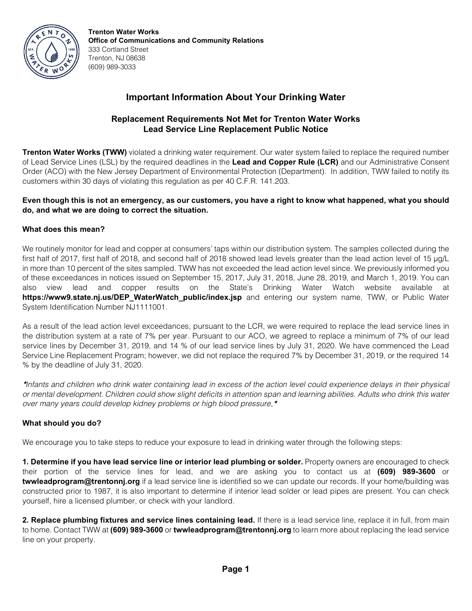

**Trenton Water Works Office of Communications and Community Relations** 333 Cortland Street Trenton, NJ 08638 (609) 989-3033

# **Important Information About Your Drinking Water**

# **Replacement Requirements Not Met for Trenton Water Works Lead Service Line Replacement Public Notice**

**Trenton Water Works (TWW)** violated a drinking water requirement. Our water system failed to replace the required number of Lead Service Lines (LSL) by the required deadlines in the **Lead and Copper Rule (LCR)** and our Administrative Consent Order (ACO) with the New Jersey Department of Environmental Protection (Department). In addition, TWW failed to notify its customers within 30 days of violating this regulation as per 40 C.F.R. 141.203.

### **Even though this is not an emergency, as our customers, you have a right to know what happened, what you should do, and what we are doing to correct the situation.**

## **What does this mean?**

We routinely monitor for lead and copper at consumers' taps within our distribution system. The samples collected during the first half of 2017, first half of 2018, and second half of 2018 showed lead levels greater than the lead action level of 15 µg/L in more than 10 percent of the sites sampled. TWW has not exceeded the lead action level since. We previously informed you of these exceedances in notices issued on September 15, 2017, July 31, 2018, June 28, 2019, and March 1, 2019. You can also view lead and copper results on the State's Drinking Water Watch website available at **[https://www9.state.nj.us/DEP\\_WaterWatch\\_public/index.jsp](https://www9.state.nj.us/DEP_WaterWatch_public/index.jsp)** and entering our system name, TWW, or Public Water System Identification Number NJ1111001.

As a result of the lead action level exceedances, pursuant to the LCR, we were required to replace the lead service lines in the distribution system at a rate of 7% per year. Pursuant to our ACO, we agreed to replace a minimum of 7% of our lead service lines by December 31, 2019, and 14 % of our lead service lines by July 31, 2020. We have commenced the Lead Service Line Replacement Program; however, we did not replace the required 7% by December 31, 2019, or the required 14 % by the deadline of July 31, 2020.

\**Infants and children who drink water containing lead in excess of the action level could experience delays in their physical or mental development. Children could show slight deficits in attention span and learning abilities. Adults who drink this water over many years could develop kidney problems or high blood pressure*.\*

### **What should you do?**

We encourage you to take steps to reduce your exposure to lead in drinking water through the following steps:

**1. Determine if you have lead service line or interior lead plumbing or solder.** Property owners are encouraged to check their portion of the service lines for lead, and we are asking you to contact us at **(609) 989-3600** or **twwleadprogram@trentonnj.org** if a lead service line is identified so we can update our records. If your home/building was constructed prior to 1987, it is also important to determine if interior lead solder or lead pipes are present. You can check yourself, hire a licensed plumber, or check with your landlord.

**2. Replace plumbing fixtures and service lines containing lead.** If there is a lead service line, replace it in full, from main to home. Contact TWW at **(609) 989-3600** or **twwleadprogram@trentonnj.org** to learn more about replacing the lead service line on your property.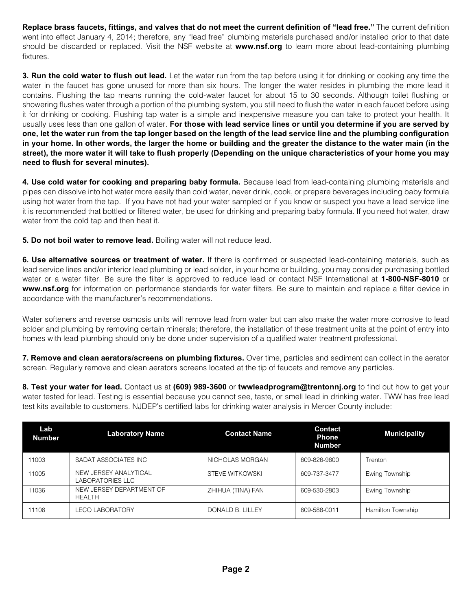**Replace brass faucets, fittings, and valves that do not meet the current definition of "lead free."** The current definition went into effect January 4, 2014; therefore, any "lead free" plumbing materials purchased and/or installed prior to that date should be discarded or replaced. Visit the NSF website at **www.nsf.org** to learn more about lead-containing plumbing fixtures.

**3. Run the cold water to flush out lead.** Let the water run from the tap before using it for drinking or cooking any time the water in the faucet has gone unused for more than six hours. The longer the water resides in plumbing the more lead it contains. Flushing the tap means running the cold-water faucet for about 15 to 30 seconds. Although toilet flushing or showering flushes water through a portion of the plumbing system, you still need to flush the water in each faucet before using it for drinking or cooking. Flushing tap water is a simple and inexpensive measure you can take to protect your health. It usually uses less than one gallon of water. **For those with lead service lines or until you determine if you are served by one, let the water run from the tap longer based on the length of the lead service line and the plumbing configuration in your home. In other words, the larger the home or building and the greater the distance to the water main (in the street), the more water it will take to flush properly (Depending on the unique characteristics of your home you may need to flush for several minutes).** 

**4. Use cold water for cooking and preparing baby formula.** Because lead from lead-containing plumbing materials and pipes can dissolve into hot water more easily than cold water, never drink, cook, or prepare beverages including baby formula using hot water from the tap. If you have not had your water sampled or if you know or suspect you have a lead service line it is recommended that bottled or filtered water, be used for drinking and preparing baby formula. If you need hot water, draw water from the cold tap and then heat it.

**5. Do not boil water to remove lead.** Boiling water will not reduce lead.

**6. Use alternative sources or treatment of water.** If there is confirmed or suspected lead-containing materials, such as lead service lines and/or interior lead plumbing or lead solder, in your home or building, you may consider purchasing bottled water or a water filter. Be sure the filter is approved to reduce lead or contact NSF International at **1-800-NSF-8010** or **www.nsf.org** for information on performance standards for water filters. Be sure to maintain and replace a filter device in accordance with the manufacturer's recommendations.

Water softeners and reverse osmosis units will remove lead from water but can also make the water more corrosive to lead solder and plumbing by removing certain minerals; therefore, the installation of these treatment units at the point of entry into homes with lead plumbing should only be done under supervision of a qualified water treatment professional.

**7. Remove and clean aerators/screens on plumbing fixtures.** Over time, particles and sediment can collect in the aerator screen. Regularly remove and clean aerators screens located at the tip of faucets and remove any particles.

**8. Test your water for lead.** Contact us at **(609) 989-3600** or **twwleadprogram@trentonnj.org** to find out how to get your water tested for lead. Testing is essential because you cannot see, taste, or smell lead in drinking water. TWW has free lead test kits available to customers. NJDEP's certified labs for drinking water analysis in Mercer County include:

| Lab<br><b>Number</b> | <b>Laboratory Name</b>                    | <b>Contact Name</b> | <b>Contact</b><br><b>Phone</b><br><b>Number</b> | <b>Municipality</b> |
|----------------------|-------------------------------------------|---------------------|-------------------------------------------------|---------------------|
| 11003                | SADAT ASSOCIATES INC                      | NICHOLAS MORGAN     | 609-826-9600                                    | Trenton             |
| 11005                | NEW JERSEY ANALYTICAL<br>LABORATORIES LLC | STEVE WITKOWSKI     | 609-737-3477                                    | Ewing Township      |
| 11036                | NEW JERSEY DEPARTMENT OF<br><b>HEALTH</b> | ZHIHUA (TINA) FAN   | 609-530-2803                                    | Ewing Township      |
| 11106                | LECO LABORATORY                           | DONALD B. LILLEY    | 609-588-0011                                    | Hamilton Township   |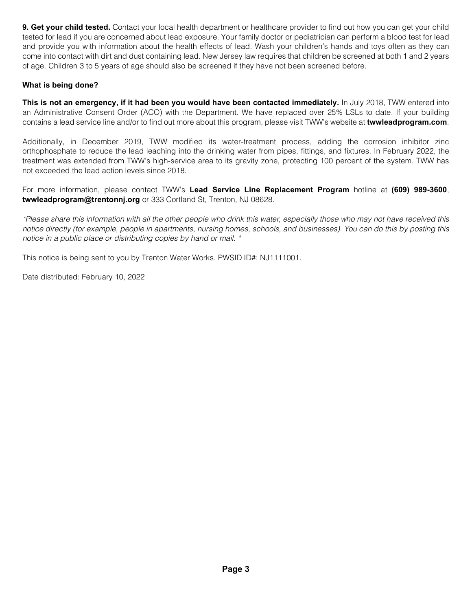**9. Get your child tested.** Contact your local health department or healthcare provider to find out how you can get your child tested for lead if you are concerned about lead exposure. Your family doctor or pediatrician can perform a blood test for lead and provide you with information about the health effects of lead. Wash your children's hands and toys often as they can come into contact with dirt and dust containing lead. New Jersey law requires that children be screened at both 1 and 2 years of age. Children 3 to 5 years of age should also be screened if they have not been screened before.

## **What is being done?**

**This is not an emergency, if it had been you would have been contacted immediately.** In July 2018, TWW entered into an Administrative Consent Order (ACO) with the Department. We have replaced over 25% LSLs to date. If your building contains a lead service line and/or to find out more about this program, please visit TWW's website at **twwleadprogram.com**.

Additionally, in December 2019, TWW modified its water-treatment process, adding the corrosion inhibitor zinc orthophosphate to reduce the lead leaching into the drinking water from pipes, fittings, and fixtures. In February 2022, the treatment was extended from TWW's high-service area to its gravity zone, protecting 100 percent of the system. TWW has not exceeded the lead action levels since 2018.

For more information, please contact TWW's **Lead Service Line Replacement Program** hotline at **(609) 989-3600**, **twwleadprogram@trentonnj.org** or 333 Cortland St, Trenton, NJ 08628.

*\*Please share this information with all the other people who drink this water, especially those who may not have received this notice directly (for example, people in apartments, nursing homes, schools, and businesses). You can do this by posting this notice in a public place or distributing copies by hand or mail. \**

This notice is being sent to you by Trenton Water Works. PWSID ID#: NJ1111001.

Date distributed: February 10, 2022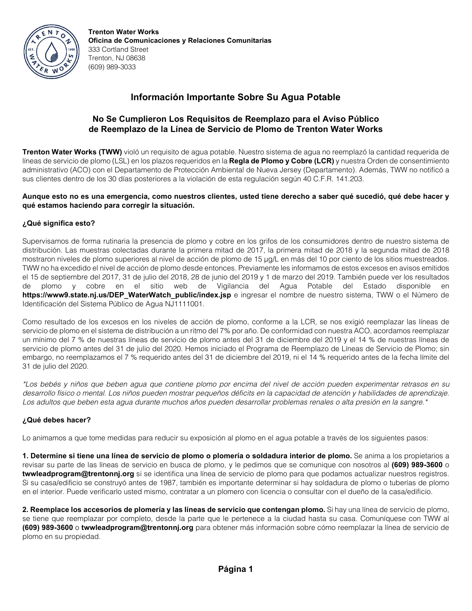

**Trenton Water Works Oficina de Comunicaciones y Relaciones Comunitarias** 333 Cortland Street Trenton, NJ 08638 (609) 989-3033

# **Información Importante Sobre Su Agua Potable**

## **No Se Cumplieron Los Requisitos de Reemplazo para el Aviso Público de Reemplazo de la Línea de Servicio de Plomo de Trenton Water Works**

**Trenton Water Works (TWW)** violó un requisito de agua potable. Nuestro sistema de agua no reemplazó la cantidad requerida de líneas de servicio de plomo (LSL) en los plazos requeridos en la **Regla de Plomo y Cobre (LCR)** y nuestra Orden de consentimiento administrativo (ACO) con el Departamento de Protección Ambiental de Nueva Jersey (Departamento). Además, TWW no notificó a sus clientes dentro de los 30 días posteriores a la violación de esta regulación según 40 C.F.R. 141.203.

#### **Aunque esto no es una emergencia, como nuestros clientes, usted tiene derecho a saber qué sucedió, qué debe hacer y qué estamos haciendo para corregir la situación.**

### **¿Qué significa esto?**

Supervisamos de forma rutinaria la presencia de plomo y cobre en los grifos de los consumidores dentro de nuestro sistema de distribución. Las muestras colectadas durante la primera mitad de 2017, la primera mitad de 2018 y la segunda mitad de 2018 mostraron niveles de plomo superiores al nivel de acción de plomo de 15 µg/L en más del 10 por ciento de los sitios muestreados. TWW no ha excedido el nivel de acción de plomo desde entonces. Previamente les informamos de estos excesos en avisos emitidos el 15 de septiembre del 2017, 31 de julio del 2018, 28 de junio del 2019 y 1 de marzo del 2019. También puede ver los resultados de plomo y cobre en el sitio web de Vigilancia del Agua Potable del Estado disponible en **https://www9.state.nj.us/DEP\_WaterWatch\_public/index.jsp** e ingresar el nombre de nuestro sistema, TWW o el Número de Identificación del Sistema Público de Agua NJ1111001.

Como resultado de los excesos en los niveles de acción de plomo, conforme a la LCR, se nos exigió reemplazar las líneas de servicio de plomo en el sistema de distribución a un ritmo del 7% por año. De conformidad con nuestra ACO, acordamos reemplazar un mínimo del 7 % de nuestras líneas de servicio de plomo antes del 31 de diciembre del 2019 y el 14 % de nuestras líneas de servicio de plomo antes del 31 de julio del 2020. Hemos iniciado el Programa de Reemplazo de Líneas de Servicio de Plomo; sin embargo, no reemplazamos el 7 % requerido antes del 31 de diciembre del 2019, ni el 14 % requerido antes de la fecha límite del 31 de julio del 2020.

*\*Los bebés y niños que beben agua que contiene plomo por encima del nivel de acción pueden experimentar retrasos en su desarrollo físico o mental. Los niños pueden mostrar pequeños déficits en la capacidad de atención y habilidades de aprendizaje. Los adultos que beben esta agua durante muchos años pueden desarrollar problemas renales o alta presión en la sangre.\**

### **¿Qué debes hacer?**

Lo animamos a que tome medidas para reducir su exposición al plomo en el agua potable a través de los siguientes pasos:

**1. Determine si tiene una línea de servicio de plomo o plomería o soldadura interior de plomo.** Se anima a los propietarios a revisar su parte de las líneas de servicio en busca de plomo, y le pedimos que se comunique con nosotros al **(609) 989-3600** o **twwleadprogram@trentonnj.org** si se identifica una línea de servicio de plomo para que podamos actualizar nuestros registros. Si su casa/edificio se construyó antes de 1987, también es importante determinar si hay soldadura de plomo o tuberías de plomo en el interior. Puede verificarlo usted mismo, contratar a un plomero con licencia o consultar con el dueño de la casa/edificio.

**2. Reemplace los accesorios de plomería y las líneas de servicio que contengan plomo.** Si hay una línea de servicio de plomo, se tiene que reemplazar por completo, desde la parte que le pertenece a la ciudad hasta su casa. Comuníquese con TWW al **(609) 989-3600** o **twwleadprogram@trentonnj.org** para obtener más información sobre cómo reemplazar la línea de servicio de plomo en su propiedad.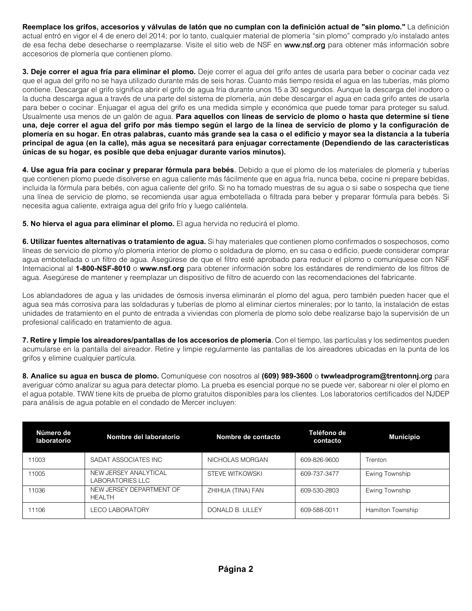**Reemplace los grifos, accesorios y válvulas de latón que no cumplan con la definición actual de "sin plomo."** La definición actual entró en vigor el 4 de enero del 2014; por lo tanto, cualquier material de plomería "sin plomo" comprado y/o instalado antes de esa fecha debe desecharse o reemplazarse. Visite el sitio web de NSF en www.nsf.org para obtener más información sobre accesorios de plomería que contienen plomo.

**3. Deje correr el agua fría para eliminar el plomo.** Deje correr el agua del grifo antes de usarla para beber o cocinar cada vez que el agua del grifo no se haya utilizado durante más de seis horas. Cuanto más tiempo resida el agua en las tuberías, más plomo contiene. Descargar el grifo significa abrir el grifo de agua fría durante unos 15 a 30 segundos. Aunque la descarga del inodoro o la ducha descarga agua a través de una parte del sistema de plomería, aún debe descargar el agua en cada grifo antes de usarla para beber o cocinar. Enjuagar el agua del grifo es una medida simple y económica que puede tomar para proteger su salud. Usualmente usa menos de un galón de agua. **Para aquellos con líneas de servicio de plomo o hasta que determine si tiene una, deje correr el agua del grifo por más tiempo según el largo de la línea de servicio de plomo y la configuración de plomería en su hogar. En otras palabras, cuanto más grande sea la casa o el edificio y mayor sea la distancia a la tubería principal de agua (en la calle), más agua se necesitará para enjuagar correctamente (Dependiendo de las características únicas de su hogar, es posible que deba enjuagar durante varios minutos).**

**4. Use agua fría para cocinar y preparar fórmula para bebés**. Debido a que el plomo de los materiales de plomería y tuberías que contienen plomo puede disolverse en agua caliente más fácilmente que en agua fría, nunca beba, cocine ni prepare bebidas, incluida la fórmula para bebés, con agua caliente del grifo. Si no ha tomado muestras de su agua o si sabe o sospecha que tiene una línea de servicio de plomo, se recomienda usar agua embotellada o filtrada para beber y preparar fórmula para bebés. Si necesita agua caliente, extraiga agua del grifo frío y luego caliéntela.

**5. No hierva el agua para eliminar el plomo.** El agua hervida no reducirá el plomo.

**6. Utilizar fuentes alternativas o tratamiento de agua.** Si hay materiales que contienen plomo confirmados o sospechosos, como líneas de servicio de plomo y/o plomería interior de plomo o soldadura de plomo, en su casa o edificio, puede considerar comprar agua embotellada o un filtro de agua. Asegúrese de que el filtro esté aprobado para reducir el plomo o comuníquese con NSF Internacional al **1-800-NSF-8010** o **www.nsf.org** para obtener información sobre los estándares de rendimiento de los filtros de agua. Asegúrese de mantener y reemplazar un dispositivo de filtro de acuerdo con las recomendaciones del fabricante.

Los ablandadores de agua y las unidades de ósmosis inversa eliminarán el plomo del agua, pero también pueden hacer que el agua sea más corrosiva para las soldaduras y tuberías de plomo al eliminar ciertos minerales; por lo tanto, la instalación de estas unidades de tratamiento en el punto de entrada a viviendas con plomería de plomo solo debe realizarse bajo la supervisión de un profesional calificado en tratamiento de agua.

**7. Retire y limpie los aireadores/pantallas de los accesorios de plomería**. Con el tiempo, las partículas y los sedimentos pueden acumularse en la pantalla del aireador. Retire y limpie regularmente las pantallas de los aireadores ubicadas en la punta de los grifos y elimine cualquier partícula.

**8. Analice su agua en busca de plomo.** Comuníquese con nosotros al **(609) 989-3600** o **twwleadprogram@trentonnj.**org para averiguar cómo analizar su agua para detectar plomo. La prueba es esencial porque no se puede ver, saborear ni oler el plomo en el agua potable. TWW tiene kits de prueba de plomo gratuitos disponibles para los clientes. Los laboratorios certificados del NJDEP para análisis de agua potable en el condado de Mercer incluyen:

| Número de<br>laboratorio | Nombre del laboratorio                    | Nombre de contacto | Teléfono de<br>contacto | <b>Municipio</b>         |
|--------------------------|-------------------------------------------|--------------------|-------------------------|--------------------------|
| 11003                    | SADAT ASSOCIATES INC                      | NICHOLAS MORGAN    | 609-826-9600            | Trenton                  |
| 11005                    | NEW JERSEY ANALYTICAL<br>LABORATORIES LLC | STEVE WITKOWSKI    | 609-737-3477            | Ewing Township           |
| 11036                    | NEW JERSEY DEPARTMENT OF<br><b>HEALTH</b> | ZHIHUA (TINA) FAN  | 609-530-2803            | Ewing Township           |
| 11106                    | <b>LECO LABORATORY</b>                    | DONALD B. LILLEY   | 609-588-0011            | <b>Hamilton Township</b> |